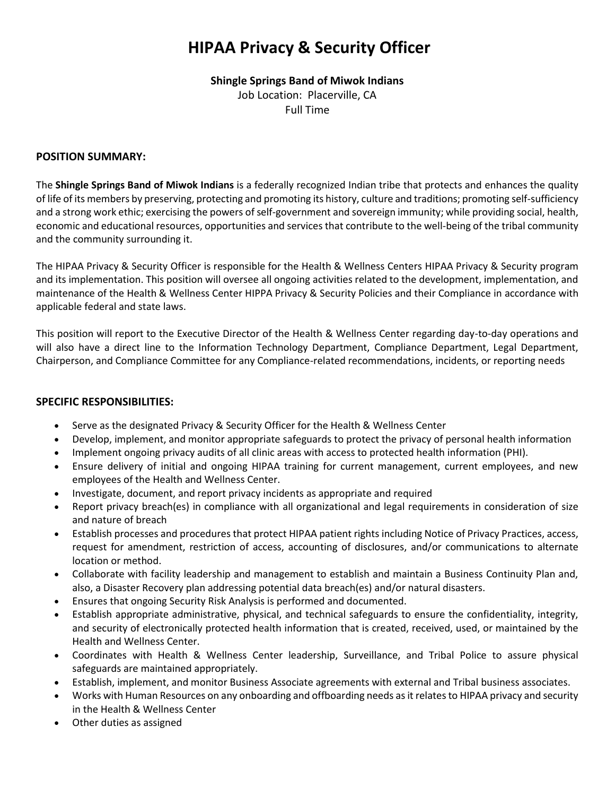# **HIPAA Privacy & Security Officer**

# **Shingle Springs Band of Miwok Indians**

Job Location: Placerville, CA Full Time

#### **POSITION SUMMARY:**

The **Shingle Springs Band of Miwok Indians** is a federally recognized Indian tribe that protects and enhances the quality of life of its members by preserving, protecting and promoting its history, culture and traditions; promoting self-sufficiency and a strong work ethic; exercising the powers of self-government and sovereign immunity; while providing social, health, economic and educational resources, opportunities and services that contribute to the well-being of the tribal community and the community surrounding it.

The HIPAA Privacy & Security Officer is responsible for the Health & Wellness Centers HIPAA Privacy & Security program and its implementation. This position will oversee all ongoing activities related to the development, implementation, and maintenance of the Health & Wellness Center HIPPA Privacy & Security Policies and their Compliance in accordance with applicable federal and state laws.

This position will report to the Executive Director of the Health & Wellness Center regarding day-to-day operations and will also have a direct line to the Information Technology Department, Compliance Department, Legal Department, Chairperson, and Compliance Committee for any Compliance-related recommendations, incidents, or reporting needs

### **SPECIFIC RESPONSIBILITIES:**

- Serve as the designated Privacy & Security Officer for the Health & Wellness Center
- Develop, implement, and monitor appropriate safeguards to protect the privacy of personal health information
- Implement ongoing privacy audits of all clinic areas with access to protected health information (PHI).
- Ensure delivery of initial and ongoing HIPAA training for current management, current employees, and new employees of the Health and Wellness Center.
- Investigate, document, and report privacy incidents as appropriate and required
- Report privacy breach(es) in compliance with all organizational and legal requirements in consideration of size and nature of breach
- Establish processes and procedures that protect HIPAA patient rights including Notice of Privacy Practices, access, request for amendment, restriction of access, accounting of disclosures, and/or communications to alternate location or method.
- Collaborate with facility leadership and management to establish and maintain a Business Continuity Plan and, also, a Disaster Recovery plan addressing potential data breach(es) and/or natural disasters.
- Ensures that ongoing Security Risk Analysis is performed and documented.
- Establish appropriate administrative, physical, and technical safeguards to ensure the confidentiality, integrity, and security of electronically protected health information that is created, received, used, or maintained by the Health and Wellness Center.
- Coordinates with Health & Wellness Center leadership, Surveillance, and Tribal Police to assure physical safeguards are maintained appropriately.
- Establish, implement, and monitor Business Associate agreements with external and Tribal business associates.
- Works with Human Resources on any onboarding and offboarding needs as it relates to HIPAA privacy and security in the Health & Wellness Center
- Other duties as assigned